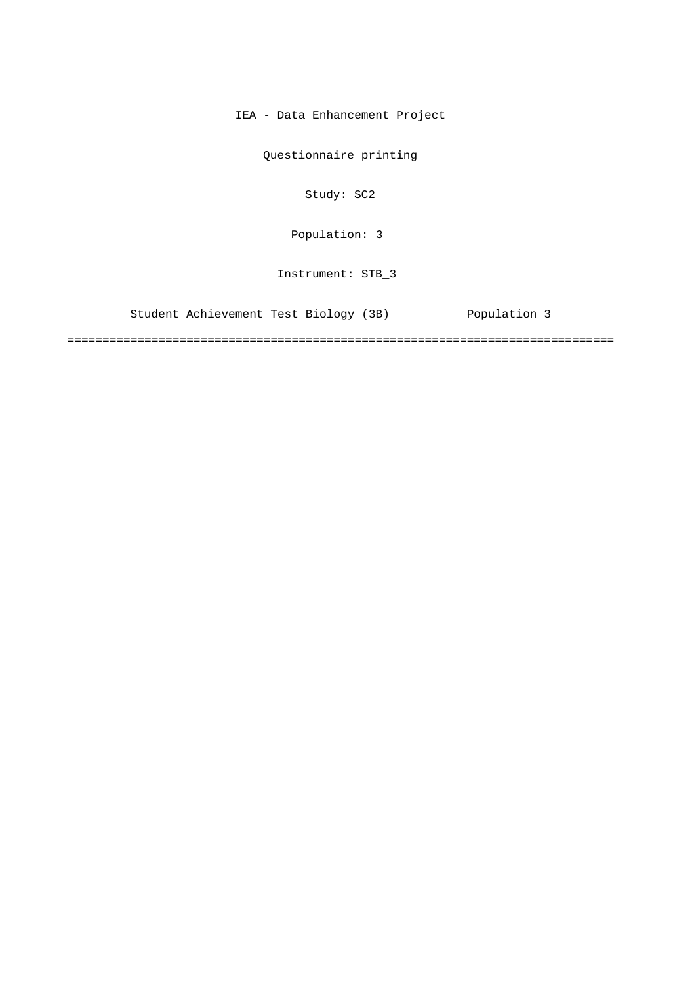IEA - Data Enhancement Project

Questionnaire printing

Study: SC2

[Population: 3](#page-2-0) 

Instrument: STB\_3

[Student Achievement Test Biology \(3B\) Population 3](#page-2-0)

==============================================================================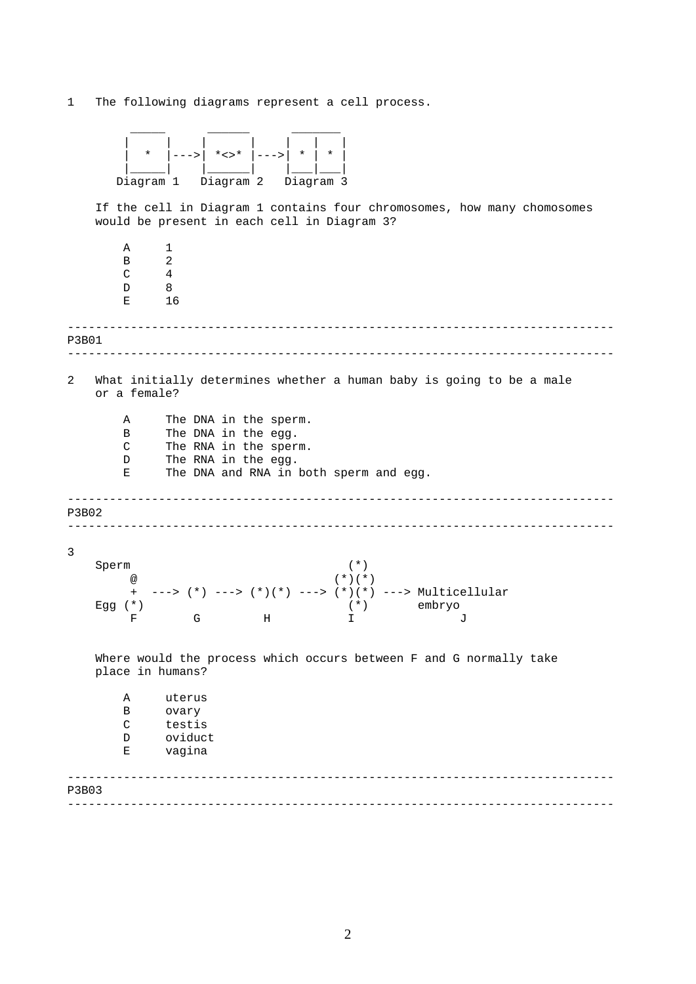1 The following diagrams represent a cell process.

| $^\star$  | $* < > *$ |           |
|-----------|-----------|-----------|
|           |           |           |
| Diagram 1 | Diagram 2 | Diagram 3 |

If the cell in Diagram 1 contains four chromosomes, how many chomosomes would be present in each cell in Diagram 3?

------------------------------------------------------------------------------ ------------------------------------------------------------------------------ ------------------------------------------------------------------------------ ------------------------------------------------------------------------------ ------------------------------------------------------------------------------ ------------------------------------------------------------------------------ A 1  $\begin{array}{ccc} B & 2 \\ C & 4 \end{array}$  $\overline{4}$ D 8 E 16 P3B01 2 What initially determines whether a human baby is going to be a male or a female? A The DNA in the sperm. B The DNA in the egg. C The RNA in the sperm. D The RNA in the egg. E The DNA and RNA in both sperm and egg. P3B02 3 Sperm (\*) @ (\*)(\*) + ---> (\*) ---> (\*)(\*) ---> (\*)(\*) ---> Multicellular Egg (\*) (\*) embryo F G H I J Where would the process which occurs between F and G normally take place in humans? A uterus B ovary C testis D oviduct E vagina P3B03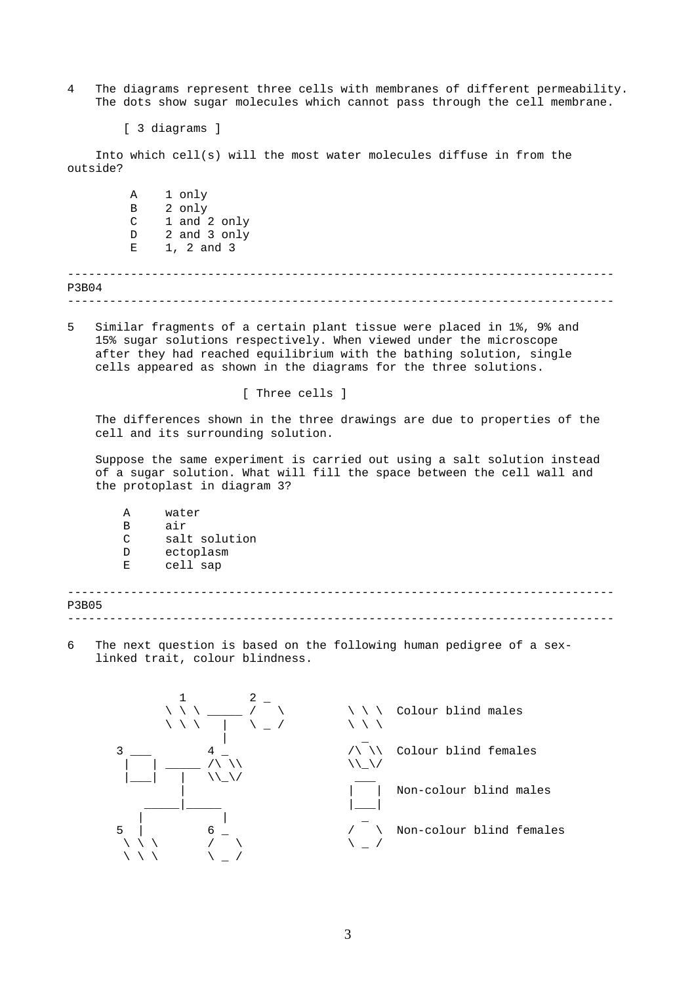- <span id="page-2-0"></span>4 The diagrams represent three cells with membranes of different permeability. The dots show sugar molecules which cannot pass through the cell membrane.
	- [ 3 diagrams ]

Into which cell(s) will the most water molecules diffuse in from the outside?

------------------------------------------------------------------------------ ------------------------------------------------------------------------------ A 1 only B 2 only C 1 and 2 only D 2 and 3 only E 1, 2 and 3 P3B04

5 Similar fragments of a certain plant tissue were placed in 1%, 9% and 15% sugar solutions respectively. When viewed under the microscope after they had reached equilibrium with the bathing solution, single cells appeared as shown in the diagrams for the three solutions.

[ Three cells ]

The differences shown in the three drawings are due to properties of the cell and its surrounding solution.

Suppose the same experiment is carried out using a salt solution instead of a sugar solution. What will fill the space between the cell wall and the protoplast in diagram 3?

| A  | water         |
|----|---------------|
| B  | air           |
| C  | salt solution |
| D  | ectoplasm     |
| E. | cell sap      |
|    |               |

| <b>P3B05</b> |  |
|--------------|--|
|              |  |

6 The next question is based on the following human pedigree of a sexlinked trait, colour blindness.

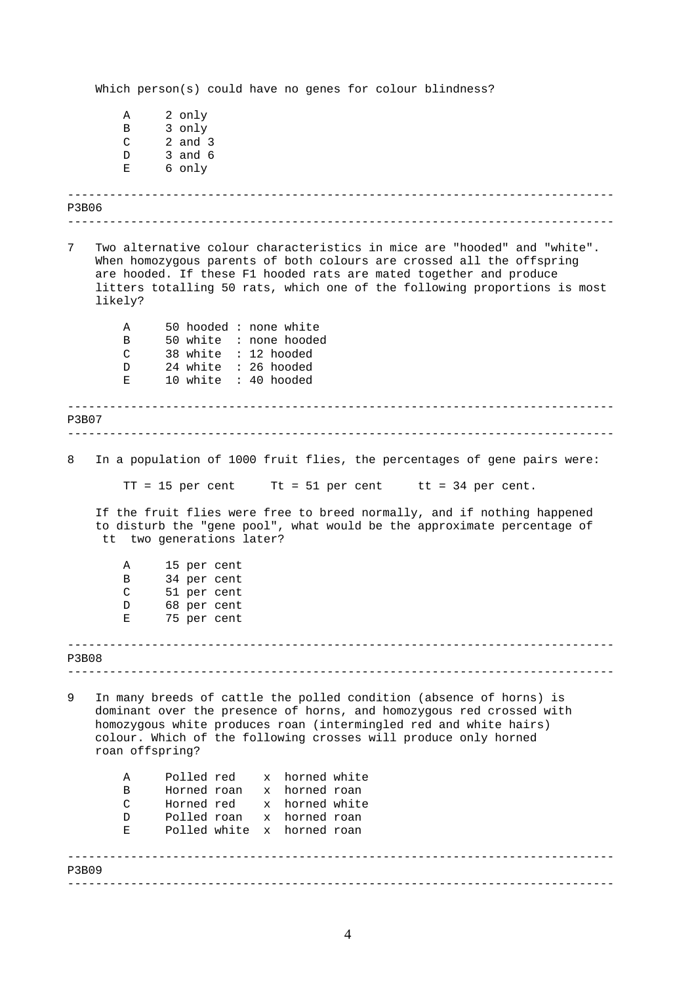------------------------------------------------------------------------------ ------------------------------------------------------------------------------ ------------------------------------------------------------------------------ ------------------------------------------------------------------------------ ------------------------------------------------------------------------------ ------------------------------------------------------------------------------ ------------------------------------------------------------------------------ ------------------------------------------------------------------------------ Which person(s) could have no genes for colour blindness? A 2 only B 3 only C 2 and 3 D 3 and 6 E 6 only P3B06 7 Two alternative colour characteristics in mice are "hooded" and "white". When homozygous parents of both colours are crossed all the offspring are hooded. If these F1 hooded rats are mated together and produce litters totalling 50 rats, which one of the following proportions is most likely? A 50 hooded : none white B 50 white : none hooded C 38 white : 12 hooded D 24 white : 26 hooded E 10 white : 40 hooded P3B07 8 In a population of 1000 fruit flies, the percentages of gene pairs were:  $TT = 15$  per cent Tt = 51 per cent tt = 34 per cent. If the fruit flies were free to breed normally, and if nothing happened to disturb the "gene pool", what would be the approximate percentage of tt two generations later? A 15 per cent B 34 per cent C 51 per cent D 68 per cent E 75 per cent P3B08 9 In many breeds of cattle the polled condition (absence of horns) is dominant over the presence of horns, and homozygous red crossed with homozygous white produces roan (intermingled red and white hairs) colour. Which of the following crosses will produce only horned roan offspring? A Polled red x horned white B Horned roan x horned roan C Horned red x horned white D Polled roan x horned roan E Polled white x horned roan P3B09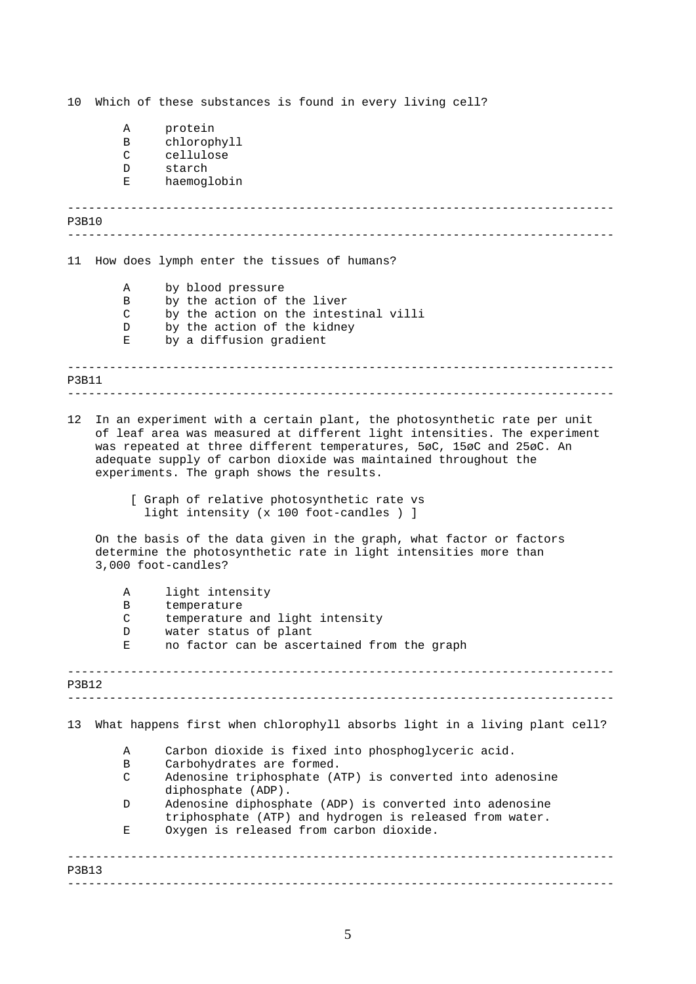------------------------------------------------------------------------------ ------------------------------------------------------------------------------ ------------------------------------------------------------------------------ ------------------------------------------------------------------------------ ------------------------------------------------------------------------------ ------------------------------------------------------------------------------ ------------------------------------------------------------------------------ ------------------------------------------------------------------------------ 10 Which of these substances is found in every living cell? A protein B chlorophyll C cellulose D starch E haemoglobin P3B10 11 How does lymph enter the tissues of humans? A by blood pressure B by the action of the liver C by the action on the intestinal villi D by the action of the kidney E by a diffusion gradient P3B11 12 In an experiment with a certain plant, the photosynthetic rate per unit of leaf area was measured at different light intensities. The experiment was repeated at three different temperatures, 5øC, 15øC and 25øC. An adequate supply of carbon dioxide was maintained throughout the experiments. The graph shows the results. [ Graph of relative photosynthetic rate vs light intensity (x 100 foot-candles ) ] On the basis of the data given in the graph, what factor or factors determine the photosynthetic rate in light intensities more than 3,000 foot-candles? A light intensity B temperature C temperature and light intensity D water status of plant<br>E no factor can be associ E no factor can be ascertained from the graph P3B12 13 What happens first when chlorophyll absorbs light in a living plant cell? A Carbon dioxide is fixed into phosphoglyceric acid. B Carbohydrates are formed. C Adenosine triphosphate (ATP) is converted into adenosine diphosphate (ADP). D Adenosine diphosphate (ADP) is converted into adenosine triphosphate (ATP) and hydrogen is released from water. E Oxygen is released from carbon dioxide. P3B13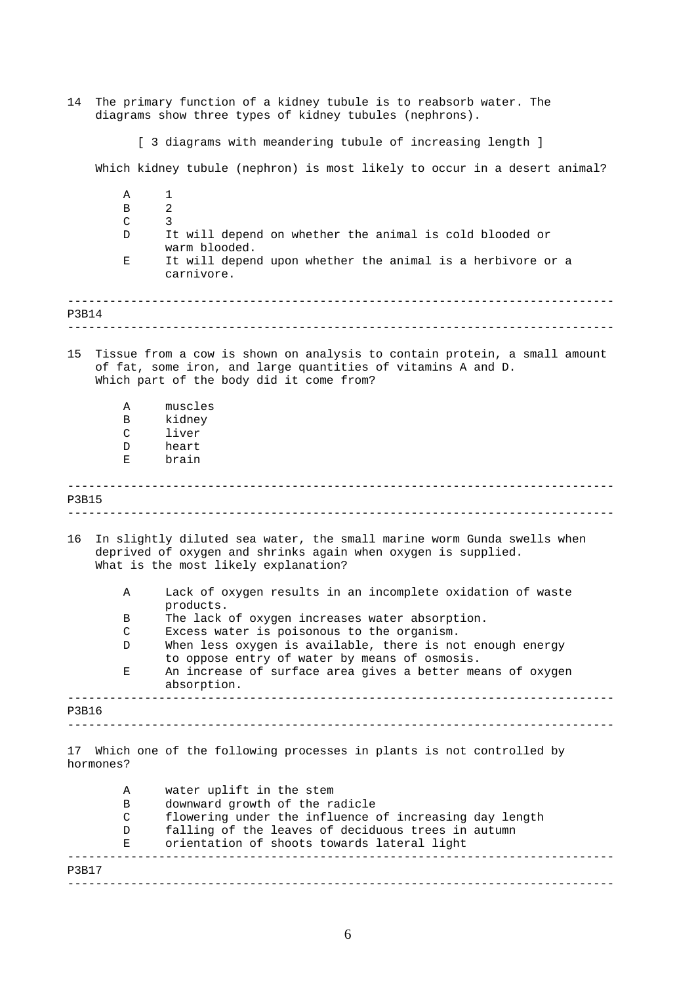| 14           | The primary function of a kidney tubule is to reabsorb water. The<br>diagrams show three types of kidney tubules (nephrons). |                                                                                                                                                                                       |  |  |  |
|--------------|------------------------------------------------------------------------------------------------------------------------------|---------------------------------------------------------------------------------------------------------------------------------------------------------------------------------------|--|--|--|
|              | [ 3 diagrams with meandering tubule of increasing length ]                                                                   |                                                                                                                                                                                       |  |  |  |
|              |                                                                                                                              | Which kidney tubule (nephron) is most likely to occur in a desert animal?                                                                                                             |  |  |  |
|              | Α                                                                                                                            | 1                                                                                                                                                                                     |  |  |  |
|              | В                                                                                                                            | $\overline{2}$<br>3                                                                                                                                                                   |  |  |  |
|              | C<br>D                                                                                                                       | It will depend on whether the animal is cold blooded or                                                                                                                               |  |  |  |
|              |                                                                                                                              | warm blooded.                                                                                                                                                                         |  |  |  |
|              | Ε                                                                                                                            | It will depend upon whether the animal is a herbivore or a<br>carnivore.                                                                                                              |  |  |  |
| P3B14        |                                                                                                                              |                                                                                                                                                                                       |  |  |  |
| 15           |                                                                                                                              | Tissue from a cow is shown on analysis to contain protein, a small amount<br>of fat, some iron, and large quantities of vitamins A and D.<br>Which part of the body did it come from? |  |  |  |
|              | Α                                                                                                                            | muscles                                                                                                                                                                               |  |  |  |
|              | в<br>C                                                                                                                       | kidney<br>liver                                                                                                                                                                       |  |  |  |
|              | D                                                                                                                            | heart                                                                                                                                                                                 |  |  |  |
|              | Е                                                                                                                            | brain                                                                                                                                                                                 |  |  |  |
| <b>P3B15</b> |                                                                                                                              |                                                                                                                                                                                       |  |  |  |
| 16           |                                                                                                                              | In slightly diluted sea water, the small marine worm Gunda swells when<br>deprived of oxygen and shrinks again when oxygen is supplied.<br>What is the most likely explanation?       |  |  |  |
|              | Α                                                                                                                            | Lack of oxygen results in an incomplete oxidation of waste<br>products.                                                                                                               |  |  |  |
|              | В                                                                                                                            | The lack of oxygen increases water absorption.                                                                                                                                        |  |  |  |
|              | C                                                                                                                            | Excess water is poisonous to the organism.                                                                                                                                            |  |  |  |
|              | D                                                                                                                            | When less oxygen is available, there is not enough energy                                                                                                                             |  |  |  |
|              | Ε                                                                                                                            | to oppose entry of water by means of osmosis.<br>An increase of surface area gives a better means of oxygen<br>absorption.                                                            |  |  |  |
| P3B16        |                                                                                                                              |                                                                                                                                                                                       |  |  |  |
|              |                                                                                                                              |                                                                                                                                                                                       |  |  |  |
|              | hormones?                                                                                                                    | 17 Which one of the following processes in plants is not controlled by                                                                                                                |  |  |  |
|              | Α                                                                                                                            | water uplift in the stem                                                                                                                                                              |  |  |  |
|              | В                                                                                                                            | downward growth of the radicle                                                                                                                                                        |  |  |  |
|              | C                                                                                                                            | flowering under the influence of increasing day length                                                                                                                                |  |  |  |
|              | D                                                                                                                            | falling of the leaves of deciduous trees in autumn                                                                                                                                    |  |  |  |
|              | Е                                                                                                                            | orientation of shoots towards lateral light                                                                                                                                           |  |  |  |
| P3B17        |                                                                                                                              |                                                                                                                                                                                       |  |  |  |
|              |                                                                                                                              |                                                                                                                                                                                       |  |  |  |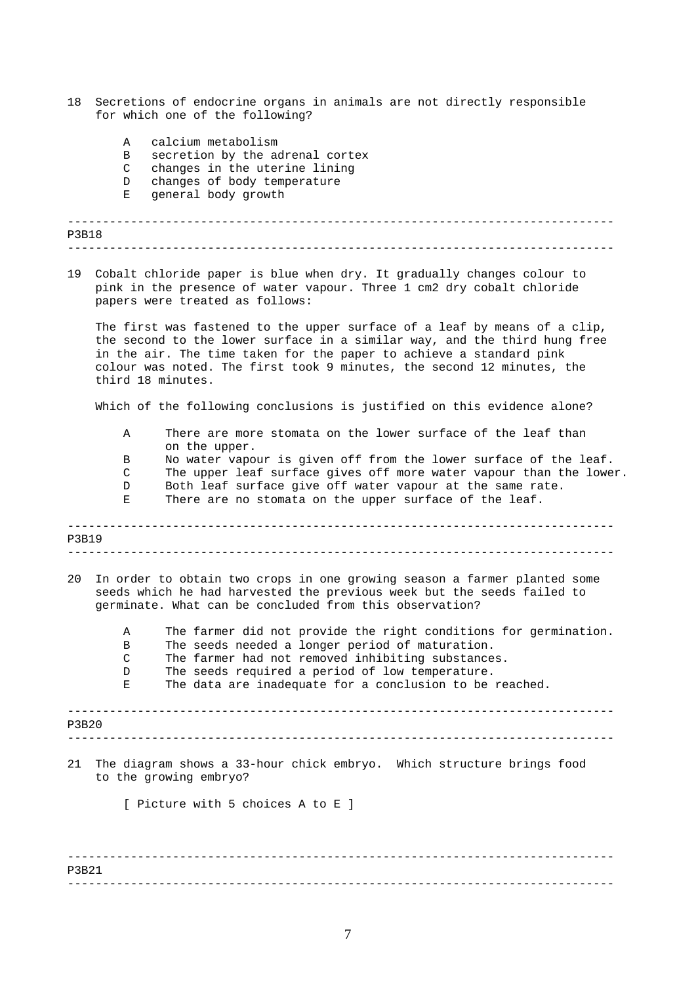- 18 Secretions of endocrine organs in animals are not directly responsible for which one of the following?
	- A calcium metabolism
	- B secretion by the adrenal cortex
	- C changes in the uterine lining
	- D changes of body temperature<br>E general body growth
	- general body growth

```
------------------------------------------------------------------------------ 
------------------------------------------------------------------------------ 
P3B18
```
19 Cobalt chloride paper is blue when dry. It gradually changes colour to pink in the presence of water vapour. Three 1 cm2 dry cobalt chloride papers were treated as follows:

The first was fastened to the upper surface of a leaf by means of a clip, the second to the lower surface in a similar way, and the third hung free in the air. The time taken for the paper to achieve a standard pink colour was noted. The first took 9 minutes, the second 12 minutes, the third 18 minutes.

Which of the following conclusions is justified on this evidence alone?

- A There are more stomata on the lower surface of the leaf than on the upper.
- B No water vapour is given off from the lower surface of the leaf.
- C The upper leaf surface gives off more water vapour than the lower.
- D Both leaf surface give off water vapour at the same rate. E There are no stomata on the upper surface of the leaf.

------------------------------------------------------------------------------ ------------------------------------------------------------------------------ P3B19 20 In order to obtain two crops in one growing season a farmer planted some seeds which he had harvested the previous week but the seeds failed to germinate. What can be concluded from this observation? A The farmer did not provide the right conditions for germination. B The seeds needed a longer period of maturation.

- C The farmer had not removed inhibiting substances.
- D The seeds required a period of low temperature.

E The data are inadequate for a conclusion to be reached.

------------------------------------------------------------------------------ P3B20

------------------------------------------------------------------------------

21 The diagram shows a 33-hour chick embryo. Which structure brings food to the growing embryo?

[ Picture with 5 choices A to E ]

------------------------------------------------------------------------------ ------------------------------------------------------------------------------ P3B21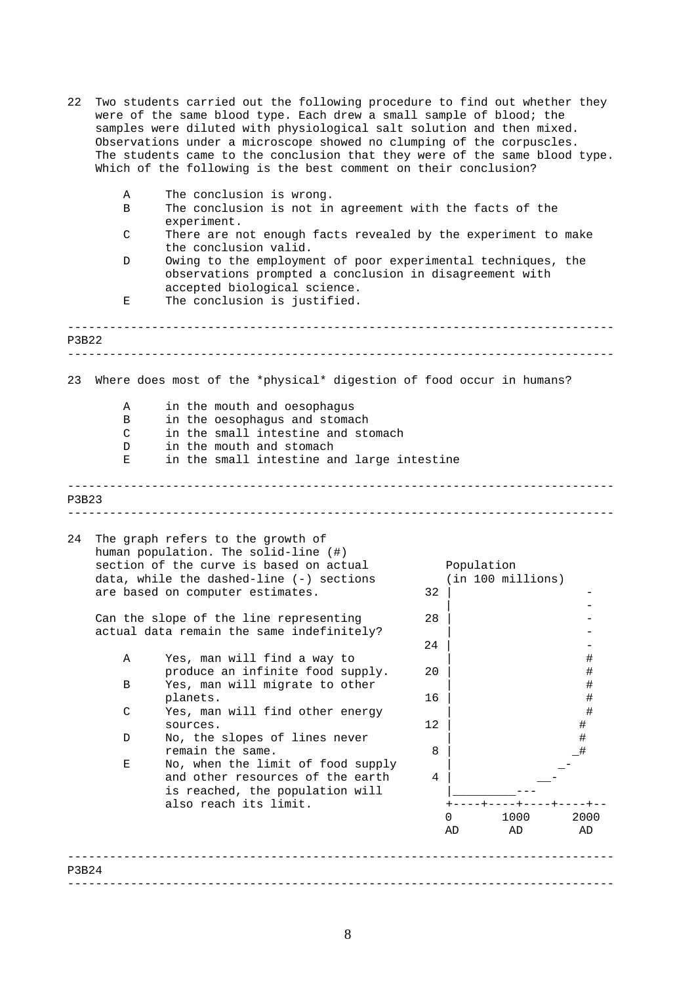| 22    | Two students carried out the following procedure to find out whether they<br>were of the same blood type. Each drew a small sample of blood; the<br>samples were diluted with physiological salt solution and then mixed.<br>Observations under a microscope showed no clumping of the corpuscles.<br>The students came to the conclusion that they were of the same blood type.<br>Which of the following is the best comment on their conclusion? |                                                                                                                                                                                                        |    |            |                   |            |
|-------|-----------------------------------------------------------------------------------------------------------------------------------------------------------------------------------------------------------------------------------------------------------------------------------------------------------------------------------------------------------------------------------------------------------------------------------------------------|--------------------------------------------------------------------------------------------------------------------------------------------------------------------------------------------------------|----|------------|-------------------|------------|
|       | Α<br>B                                                                                                                                                                                                                                                                                                                                                                                                                                              | The conclusion is wrong.<br>The conclusion is not in agreement with the facts of the                                                                                                                   |    |            |                   |            |
|       | C                                                                                                                                                                                                                                                                                                                                                                                                                                                   | experiment.<br>There are not enough facts revealed by the experiment to make                                                                                                                           |    |            |                   |            |
|       | D                                                                                                                                                                                                                                                                                                                                                                                                                                                   | the conclusion valid.<br>Owing to the employment of poor experimental techniques, the<br>observations prompted a conclusion in disagreement with<br>accepted biological science.                       |    |            |                   |            |
|       | Е                                                                                                                                                                                                                                                                                                                                                                                                                                                   | The conclusion is justified.                                                                                                                                                                           |    |            |                   |            |
| P3B22 |                                                                                                                                                                                                                                                                                                                                                                                                                                                     |                                                                                                                                                                                                        |    |            |                   |            |
| 23    |                                                                                                                                                                                                                                                                                                                                                                                                                                                     | Where does most of the *physical* digestion of food occur in humans?                                                                                                                                   |    |            |                   |            |
|       | Α                                                                                                                                                                                                                                                                                                                                                                                                                                                   | in the mouth and oesophagus                                                                                                                                                                            |    |            |                   |            |
|       | Β                                                                                                                                                                                                                                                                                                                                                                                                                                                   | in the oesophagus and stomach                                                                                                                                                                          |    |            |                   |            |
|       | C<br>D                                                                                                                                                                                                                                                                                                                                                                                                                                              | in the small intestine and stomach<br>in the mouth and stomach                                                                                                                                         |    |            |                   |            |
|       | Ε                                                                                                                                                                                                                                                                                                                                                                                                                                                   | in the small intestine and large intestine                                                                                                                                                             |    |            |                   |            |
| P3B23 |                                                                                                                                                                                                                                                                                                                                                                                                                                                     |                                                                                                                                                                                                        |    |            |                   |            |
| 24    |                                                                                                                                                                                                                                                                                                                                                                                                                                                     | The graph refers to the growth of<br>human population. The solid-line (#)<br>section of the curve is based on actual<br>data, while the dashed-line $(-)$ sections<br>are based on computer estimates. | 32 | Population | (in 100 millions) |            |
|       |                                                                                                                                                                                                                                                                                                                                                                                                                                                     |                                                                                                                                                                                                        |    |            |                   |            |
|       |                                                                                                                                                                                                                                                                                                                                                                                                                                                     | Can the slope of the line representing<br>actual data remain the same indefinitely?                                                                                                                    | 28 |            |                   |            |
|       |                                                                                                                                                                                                                                                                                                                                                                                                                                                     |                                                                                                                                                                                                        | 24 |            |                   |            |
|       | Α                                                                                                                                                                                                                                                                                                                                                                                                                                                   | Yes, man will find a way to                                                                                                                                                                            | 20 |            |                   |            |
|       | B                                                                                                                                                                                                                                                                                                                                                                                                                                                   | produce an infinite food supply.<br>Yes, man will migrate to other                                                                                                                                     |    |            |                   | #<br>#     |
|       |                                                                                                                                                                                                                                                                                                                                                                                                                                                     | planets.                                                                                                                                                                                               | 16 |            |                   | #          |
|       | C                                                                                                                                                                                                                                                                                                                                                                                                                                                   | Yes, man will find other energy<br>sources.                                                                                                                                                            | 12 |            |                   | #          |
|       | D                                                                                                                                                                                                                                                                                                                                                                                                                                                   | No, the slopes of lines never                                                                                                                                                                          |    |            |                   | #<br>#     |
|       |                                                                                                                                                                                                                                                                                                                                                                                                                                                     | remain the same.                                                                                                                                                                                       | 8  |            |                   |            |
|       | Е                                                                                                                                                                                                                                                                                                                                                                                                                                                   | No, when the limit of food supply<br>and other resources of the earth                                                                                                                                  | 4  |            |                   |            |
|       |                                                                                                                                                                                                                                                                                                                                                                                                                                                     | is reached, the population will                                                                                                                                                                        |    |            |                   |            |
|       |                                                                                                                                                                                                                                                                                                                                                                                                                                                     | also reach its limit.                                                                                                                                                                                  |    |            |                   |            |
|       |                                                                                                                                                                                                                                                                                                                                                                                                                                                     |                                                                                                                                                                                                        |    | AD         | 1000<br>AD        | 2000<br>AD |
|       |                                                                                                                                                                                                                                                                                                                                                                                                                                                     |                                                                                                                                                                                                        |    |            |                   |            |
|       |                                                                                                                                                                                                                                                                                                                                                                                                                                                     |                                                                                                                                                                                                        |    |            |                   |            |
| P3B24 |                                                                                                                                                                                                                                                                                                                                                                                                                                                     |                                                                                                                                                                                                        |    |            |                   |            |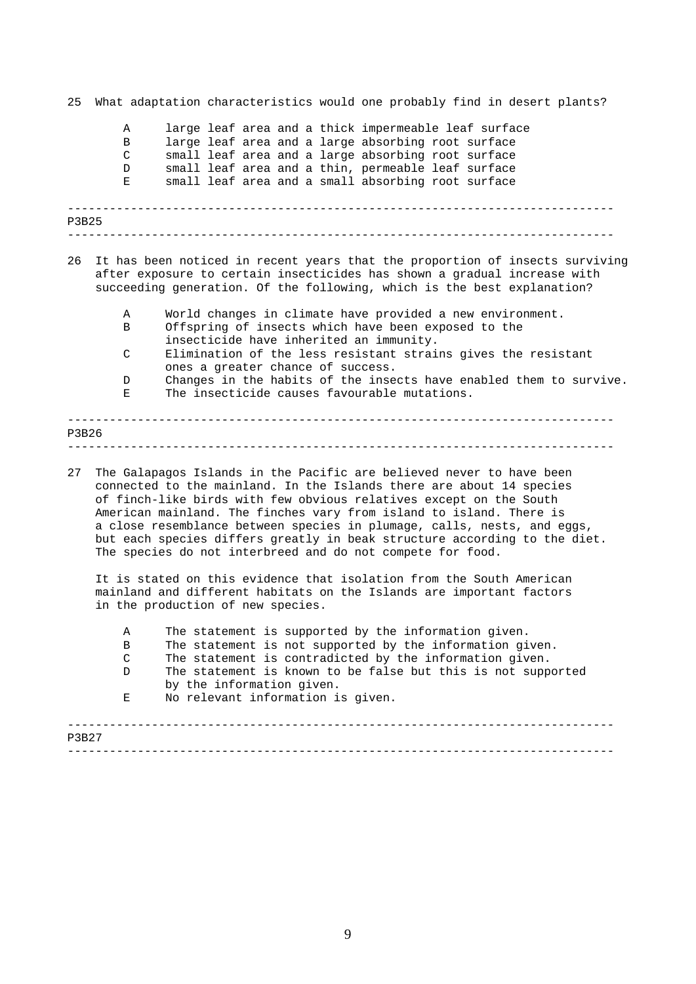------------------------------------------------------------------------------ ------------------------------------------------------------------------------ ------------------------------------------------------------------------------ ------------------------------------------------------------------------------ 25 What adaptation characteristics would one probably find in desert plants? A large leaf area and a thick impermeable leaf surface B large leaf area and a large absorbing root surface C small leaf area and a large absorbing root surface D small leaf area and a thin, permeable leaf surface E small leaf area and a small absorbing root surface P3B25 26 It has been noticed in recent years that the proportion of insects surviving after exposure to certain insecticides has shown a gradual increase with succeeding generation. Of the following, which is the best explanation? A World changes in climate have provided a new environment. B Offspring of insects which have been exposed to the insecticide have inherited an immunity. C Elimination of the less resistant strains gives the resistant ones a greater chance of success. D Changes in the habits of the insects have enabled them to survive. E The insecticide causes favourable mutations. P3B26

27 The Galapagos Islands in the Pacific are believed never to have been connected to the mainland. In the Islands there are about 14 species of finch-like birds with few obvious relatives except on the South American mainland. The finches vary from island to island. There is a close resemblance between species in plumage, calls, nests, and eggs, but each species differs greatly in beak structure according to the diet. The species do not interbreed and do not compete for food.

It is stated on this evidence that isolation from the South American mainland and different habitats on the Islands are important factors in the production of new species.

- A The statement is supported by the information given.
- B The statement is not supported by the information given.
- C The statement is contradicted by the information given.
- D The statement is known to be false but this is not supported by the information given.
- E No relevant information is given.

| <b>P3B27</b> |  |
|--------------|--|
|              |  |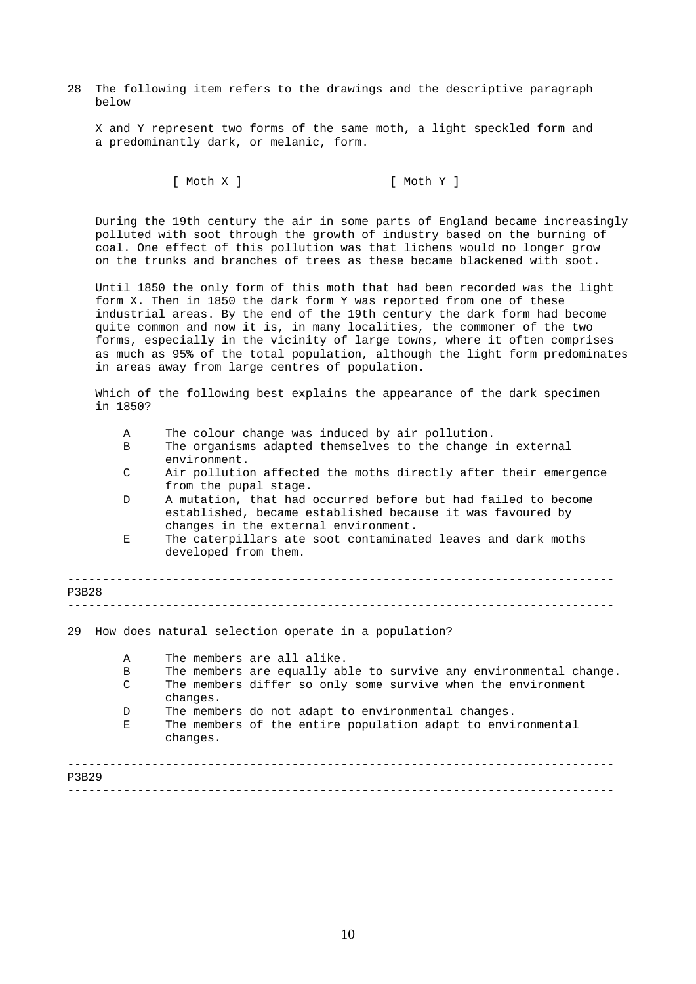28 The following item refers to the drawings and the descriptive paragraph below

X and Y represent two forms of the same moth, a light speckled form and a predominantly dark, or melanic, form.

[ Moth X ] [ Moth Y ]

During the 19th century the air in some parts of England became increasingly polluted with soot through the growth of industry based on the burning of coal. One effect of this pollution was that lichens would no longer grow on the trunks and branches of trees as these became blackened with soot.

Until 1850 the only form of this moth that had been recorded was the light form X. Then in 1850 the dark form Y was reported from one of these industrial areas. By the end of the 19th century the dark form had become quite common and now it is, in many localities, the commoner of the two forms, especially in the vicinity of large towns, where it often comprises as much as 95% of the total population, although the light form predominates in areas away from large centres of population.

Which of the following best explains the appearance of the dark specimen in 1850?

- A The colour change was induced by air pollution.
- B The organisms adapted themselves to the change in external environment.
- C Air pollution affected the moths directly after their emergence from the pupal stage.
- D A mutation, that had occurred before but had failed to become established, became established because it was favoured by changes in the external environment.
- E The caterpillars ate soot contaminated leaves and dark moths developed from them.

| P3B28                            |                                                                                                                                                                                                                                                                                                              |
|----------------------------------|--------------------------------------------------------------------------------------------------------------------------------------------------------------------------------------------------------------------------------------------------------------------------------------------------------------|
| 29                               | How does natural selection operate in a population?                                                                                                                                                                                                                                                          |
| $\mathbf{A}$<br>B<br>C<br>D<br>Е | The members are all alike.<br>The members are equally able to survive any environmental change.<br>The members differ so only some survive when the environment<br>changes.<br>The members do not adapt to environmental changes.<br>The members of the entire population adapt to environmental<br>changes. |
| P3B29                            |                                                                                                                                                                                                                                                                                                              |
|                                  |                                                                                                                                                                                                                                                                                                              |